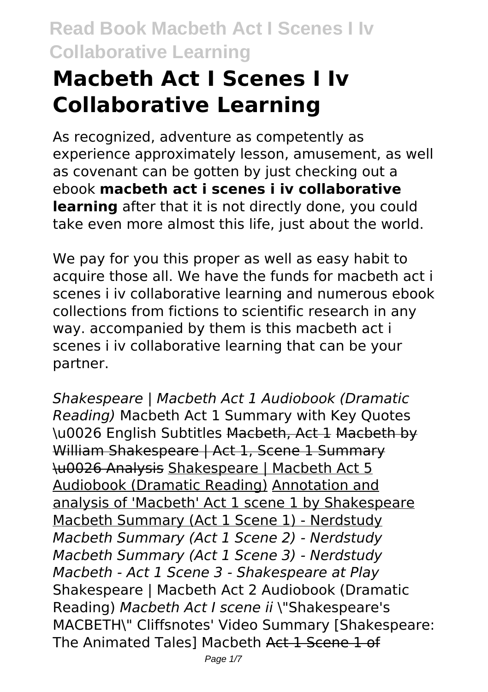# **Macbeth Act I Scenes I Iv Collaborative Learning**

As recognized, adventure as competently as experience approximately lesson, amusement, as well as covenant can be gotten by just checking out a ebook **macbeth act i scenes i iv collaborative learning** after that it is not directly done, you could take even more almost this life, just about the world.

We pay for you this proper as well as easy habit to acquire those all. We have the funds for macbeth act i scenes i iv collaborative learning and numerous ebook collections from fictions to scientific research in any way. accompanied by them is this macbeth act i scenes i iv collaborative learning that can be your partner.

*Shakespeare | Macbeth Act 1 Audiobook (Dramatic Reading)* Macbeth Act 1 Summary with Key Quotes \u0026 English Subtitles Macbeth, Act 1 Macbeth by William Shakespeare | Act 1, Scene 1 Summary \u0026 Analysis Shakespeare | Macbeth Act 5 Audiobook (Dramatic Reading) Annotation and analysis of 'Macbeth' Act 1 scene 1 by Shakespeare Macbeth Summary (Act 1 Scene 1) - Nerdstudy *Macbeth Summary (Act 1 Scene 2) - Nerdstudy Macbeth Summary (Act 1 Scene 3) - Nerdstudy Macbeth - Act 1 Scene 3 - Shakespeare at Play* Shakespeare | Macbeth Act 2 Audiobook (Dramatic Reading) *Macbeth Act I scene ii* \"Shakespeare's MACBETH\" Cliffsnotes' Video Summary [Shakespeare: The Animated Tales] Macbeth Act 1 Scene 1 of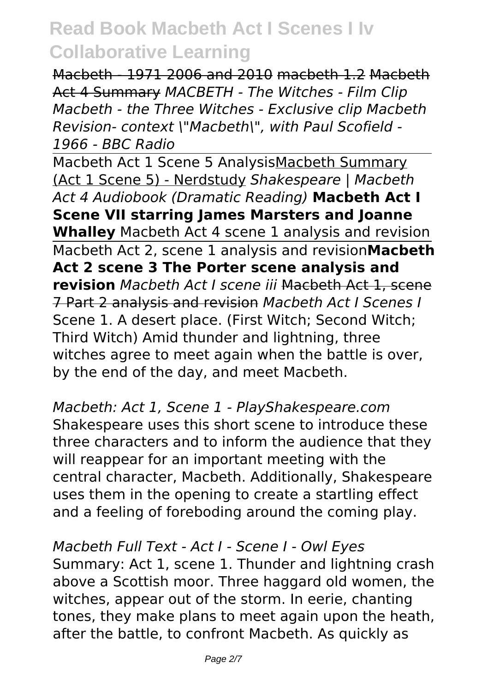Macbeth - 1971 2006 and 2010 macbeth 1.2 Macbeth Act 4 Summary *MACBETH - The Witches - Film Clip Macbeth - the Three Witches - Exclusive clip Macbeth Revision- context \"Macbeth\", with Paul Scofield - 1966 - BBC Radio*

Macbeth Act 1 Scene 5 AnalysisMacbeth Summary (Act 1 Scene 5) - Nerdstudy *Shakespeare | Macbeth Act 4 Audiobook (Dramatic Reading)* **Macbeth Act I Scene VII starring James Marsters and Joanne Whalley** Macbeth Act 4 scene 1 analysis and revision Macbeth Act 2, scene 1 analysis and revision**Macbeth Act 2 scene 3 The Porter scene analysis and revision** *Macbeth Act I scene iii* Macbeth Act 1, scene 7 Part 2 analysis and revision *Macbeth Act I Scenes I* Scene 1. A desert place. (First Witch; Second Witch; Third Witch) Amid thunder and lightning, three witches agree to meet again when the battle is over, by the end of the day, and meet Macbeth.

*Macbeth: Act 1, Scene 1 - PlayShakespeare.com* Shakespeare uses this short scene to introduce these three characters and to inform the audience that they will reappear for an important meeting with the central character, Macbeth. Additionally, Shakespeare uses them in the opening to create a startling effect and a feeling of foreboding around the coming play.

*Macbeth Full Text - Act I - Scene I - Owl Eyes* Summary: Act 1, scene 1. Thunder and lightning crash above a Scottish moor. Three haggard old women, the witches, appear out of the storm. In eerie, chanting tones, they make plans to meet again upon the heath, after the battle, to confront Macbeth. As quickly as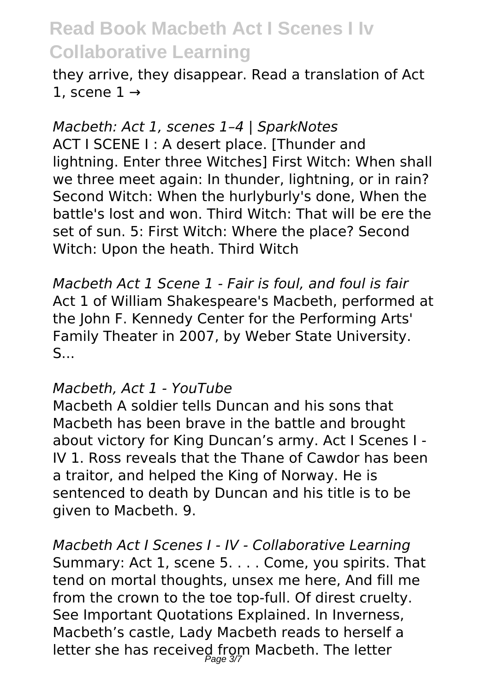they arrive, they disappear. Read a translation of Act 1, scene  $1 \rightarrow$ 

*Macbeth: Act 1, scenes 1–4 | SparkNotes* ACT I SCENE I : A desert place. [Thunder and lightning. Enter three Witches] First Witch: When shall we three meet again: In thunder, lightning, or in rain? Second Witch: When the hurlyburly's done, When the battle's lost and won. Third Witch: That will be ere the set of sun. 5: First Witch: Where the place? Second Witch: Upon the heath. Third Witch

*Macbeth Act 1 Scene 1 - Fair is foul, and foul is fair* Act 1 of William Shakespeare's Macbeth, performed at the John F. Kennedy Center for the Performing Arts' Family Theater in 2007, by Weber State University. S...

#### *Macbeth, Act 1 - YouTube*

Macbeth A soldier tells Duncan and his sons that Macbeth has been brave in the battle and brought about victory for King Duncan's army. Act I Scenes I - IV 1. Ross reveals that the Thane of Cawdor has been a traitor, and helped the King of Norway. He is sentenced to death by Duncan and his title is to be given to Macbeth. 9.

*Macbeth Act I Scenes I - IV - Collaborative Learning* Summary: Act 1, scene 5. . . . Come, you spirits. That tend on mortal thoughts, unsex me here, And fill me from the crown to the toe top-full. Of direst cruelty. See Important Quotations Explained. In Inverness, Macbeth's castle, Lady Macbeth reads to herself a letter she has received from Macbeth. The letter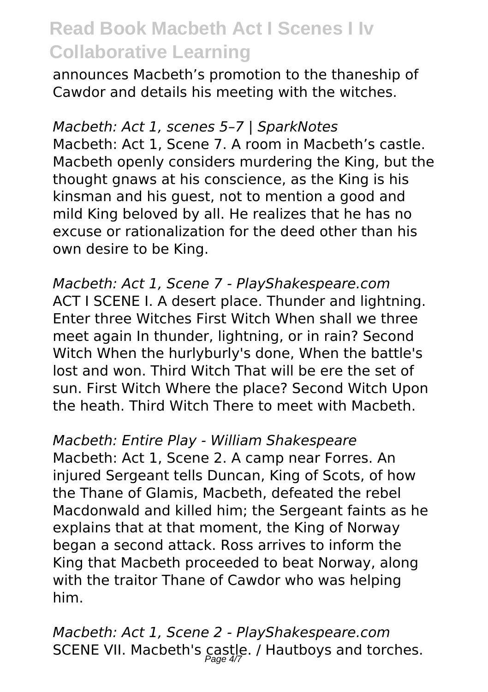announces Macbeth's promotion to the thaneship of Cawdor and details his meeting with the witches.

*Macbeth: Act 1, scenes 5–7 | SparkNotes* Macbeth: Act 1, Scene 7. A room in Macbeth's castle. Macbeth openly considers murdering the King, but the thought gnaws at his conscience, as the King is his kinsman and his guest, not to mention a good and mild King beloved by all. He realizes that he has no excuse or rationalization for the deed other than his own desire to be King.

*Macbeth: Act 1, Scene 7 - PlayShakespeare.com* ACT I SCENE I. A desert place. Thunder and lightning. Enter three Witches First Witch When shall we three meet again In thunder, lightning, or in rain? Second Witch When the hurlyburly's done, When the battle's lost and won. Third Witch That will be ere the set of sun. First Witch Where the place? Second Witch Upon the heath. Third Witch There to meet with Macbeth.

*Macbeth: Entire Play - William Shakespeare* Macbeth: Act 1, Scene 2. A camp near Forres. An injured Sergeant tells Duncan, King of Scots, of how the Thane of Glamis, Macbeth, defeated the rebel Macdonwald and killed him; the Sergeant faints as he explains that at that moment, the King of Norway began a second attack. Ross arrives to inform the King that Macbeth proceeded to beat Norway, along with the traitor Thane of Cawdor who was helping him.

*Macbeth: Act 1, Scene 2 - PlayShakespeare.com* SCENE VII. Macbeth's castle. / Hautboys and torches.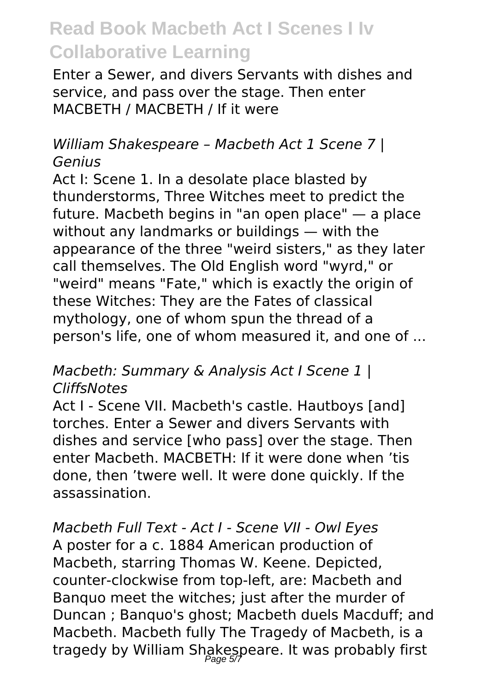Enter a Sewer, and divers Servants with dishes and service, and pass over the stage. Then enter MACBETH / MACBETH / If it were

### *William Shakespeare – Macbeth Act 1 Scene 7 | Genius*

Act I: Scene 1. In a desolate place blasted by thunderstorms, Three Witches meet to predict the future. Macbeth begins in "an open place" — a place without any landmarks or buildings — with the appearance of the three "weird sisters," as they later call themselves. The Old English word "wyrd," or "weird" means "Fate," which is exactly the origin of these Witches: They are the Fates of classical mythology, one of whom spun the thread of a person's life, one of whom measured it, and one of ...

### *Macbeth: Summary & Analysis Act I Scene 1 | CliffsNotes*

Act I - Scene VII. Macbeth's castle. Hautboys [and] torches. Enter a Sewer and divers Servants with dishes and service [who pass] over the stage. Then enter Macbeth. MACBETH: If it were done when 'tis done, then 'twere well. It were done quickly. If the assassination.

*Macbeth Full Text - Act I - Scene VII - Owl Eyes* A poster for a c. 1884 American production of Macbeth, starring Thomas W. Keene. Depicted, counter-clockwise from top-left, are: Macbeth and Banquo meet the witches; just after the murder of Duncan ; Banquo's ghost; Macbeth duels Macduff; and Macbeth. Macbeth fully The Tragedy of Macbeth, is a tragedy by William Shakespeare. It was probably first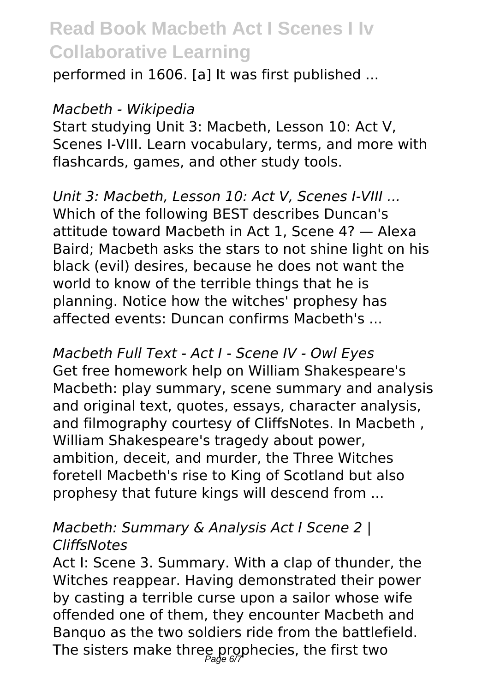performed in 1606. [a] It was first published ...

#### *Macbeth - Wikipedia*

Start studying Unit 3: Macbeth, Lesson 10: Act V, Scenes I-VIII. Learn vocabulary, terms, and more with flashcards, games, and other study tools.

*Unit 3: Macbeth, Lesson 10: Act V, Scenes I-VIII ...* Which of the following BEST describes Duncan's attitude toward Macbeth in Act 1, Scene 4? — Alexa Baird; Macbeth asks the stars to not shine light on his black (evil) desires, because he does not want the world to know of the terrible things that he is planning. Notice how the witches' prophesy has affected events: Duncan confirms Macbeth's ...

*Macbeth Full Text - Act I - Scene IV - Owl Eyes* Get free homework help on William Shakespeare's Macbeth: play summary, scene summary and analysis and original text, quotes, essays, character analysis, and filmography courtesy of CliffsNotes. In Macbeth , William Shakespeare's tragedy about power, ambition, deceit, and murder, the Three Witches foretell Macbeth's rise to King of Scotland but also prophesy that future kings will descend from ...

#### *Macbeth: Summary & Analysis Act I Scene 2 | CliffsNotes*

Act I: Scene 3. Summary. With a clap of thunder, the Witches reappear. Having demonstrated their power by casting a terrible curse upon a sailor whose wife offended one of them, they encounter Macbeth and Banquo as the two soldiers ride from the battlefield. The sisters make three prophecies, the first two